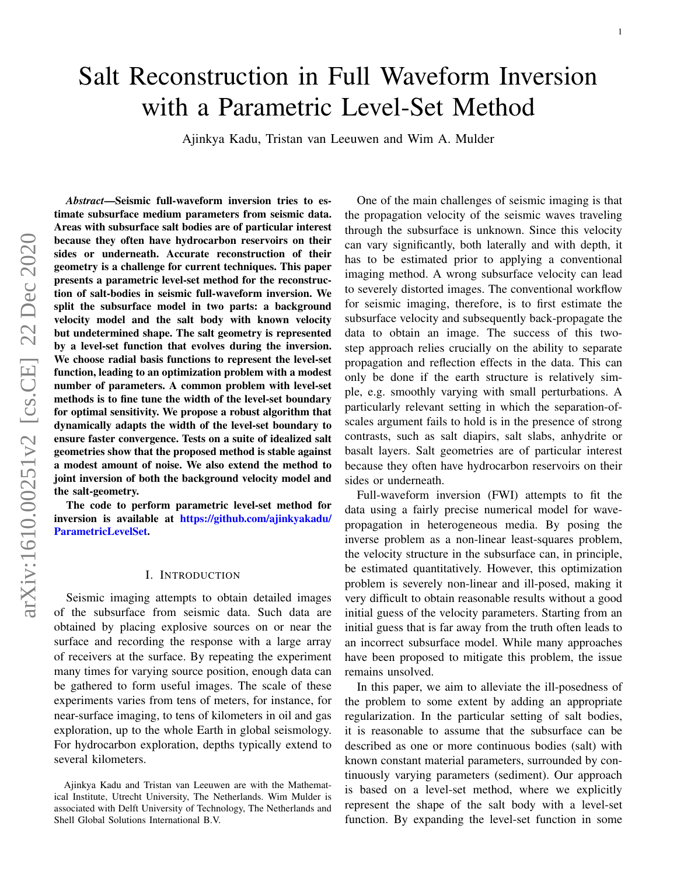# Salt Reconstruction in Full Waveform Inversion with a Parametric Level-Set Method

Ajinkya Kadu, Tristan van Leeuwen and Wim A. Mulder

*Abstract*—Seismic full-waveform inversion tries to estimate subsurface medium parameters from seismic data. Areas with subsurface salt bodies are of particular interest because they often have hydrocarbon reservoirs on their sides or underneath. Accurate reconstruction of their geometry is a challenge for current techniques. This paper presents a parametric level-set method for the reconstruction of salt-bodies in seismic full-waveform inversion. We split the subsurface model in two parts: a background velocity model and the salt body with known velocity but undetermined shape. The salt geometry is represented by a level-set function that evolves during the inversion. We choose radial basis functions to represent the level-set function, leading to an optimization problem with a modest number of parameters. A common problem with level-set methods is to fine tune the width of the level-set boundary for optimal sensitivity. We propose a robust algorithm that dynamically adapts the width of the level-set boundary to ensure faster convergence. Tests on a suite of idealized salt geometries show that the proposed method is stable against a modest amount of noise. We also extend the method to joint inversion of both the background velocity model and the salt-geometry.

The code to perform parametric level-set method for inversion is available at [https://github.com/ajinkyakadu/](https://github.com/ajinkyakadu/ParametricLevelSet) [ParametricLevelSet.](https://github.com/ajinkyakadu/ParametricLevelSet)

# I. INTRODUCTION

Seismic imaging attempts to obtain detailed images of the subsurface from seismic data. Such data are obtained by placing explosive sources on or near the surface and recording the response with a large array of receivers at the surface. By repeating the experiment many times for varying source position, enough data can be gathered to form useful images. The scale of these experiments varies from tens of meters, for instance, for near-surface imaging, to tens of kilometers in oil and gas exploration, up to the whole Earth in global seismology. For hydrocarbon exploration, depths typically extend to several kilometers.

One of the main challenges of seismic imaging is that the propagation velocity of the seismic waves traveling through the subsurface is unknown. Since this velocity can vary significantly, both laterally and with depth, it has to be estimated prior to applying a conventional imaging method. A wrong subsurface velocity can lead to severely distorted images. The conventional workflow for seismic imaging, therefore, is to first estimate the subsurface velocity and subsequently back-propagate the data to obtain an image. The success of this twostep approach relies crucially on the ability to separate propagation and reflection effects in the data. This can only be done if the earth structure is relatively simple, e.g. smoothly varying with small perturbations. A particularly relevant setting in which the separation-ofscales argument fails to hold is in the presence of strong contrasts, such as salt diapirs, salt slabs, anhydrite or basalt layers. Salt geometries are of particular interest because they often have hydrocarbon reservoirs on their sides or underneath.

Full-waveform inversion (FWI) attempts to fit the data using a fairly precise numerical model for wavepropagation in heterogeneous media. By posing the inverse problem as a non-linear least-squares problem, the velocity structure in the subsurface can, in principle, be estimated quantitatively. However, this optimization problem is severely non-linear and ill-posed, making it very difficult to obtain reasonable results without a good initial guess of the velocity parameters. Starting from an initial guess that is far away from the truth often leads to an incorrect subsurface model. While many approaches have been proposed to mitigate this problem, the issue remains unsolved.

In this paper, we aim to alleviate the ill-posedness of the problem to some extent by adding an appropriate regularization. In the particular setting of salt bodies, it is reasonable to assume that the subsurface can be described as one or more continuous bodies (salt) with known constant material parameters, surrounded by continuously varying parameters (sediment). Our approach is based on a level-set method, where we explicitly represent the shape of the salt body with a level-set function. By expanding the level-set function in some

Ajinkya Kadu and Tristan van Leeuwen are with the Mathematical Institute, Utrecht University, The Netherlands. Wim Mulder is associated with Delft University of Technology, The Netherlands and Shell Global Solutions International B.V.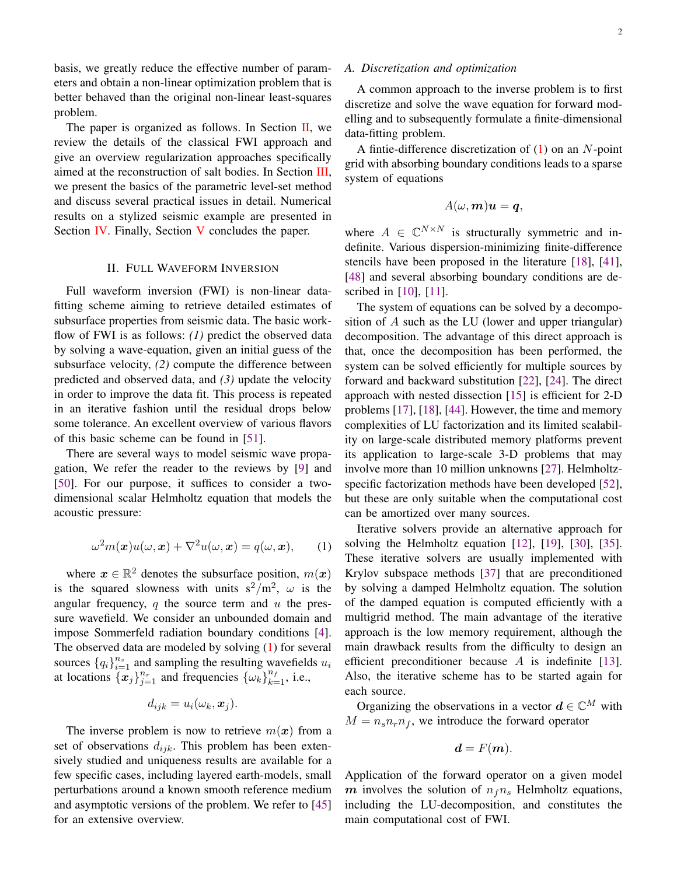basis, we greatly reduce the effective number of parameters and obtain a non-linear optimization problem that is better behaved than the original non-linear least-squares problem.

The paper is organized as follows. In Section [II,](#page-1-0) we review the details of the classical FWI approach and give an overview regularization approaches specifically aimed at the reconstruction of salt bodies. In Section [III,](#page-2-0) we present the basics of the parametric level-set method and discuss several practical issues in detail. Numerical results on a stylized seismic example are presented in Section [IV.](#page-5-0) Finally, Section [V](#page-7-0) concludes the paper.

# II. FULL WAVEFORM INVERSION

<span id="page-1-0"></span>Full waveform inversion (FWI) is non-linear datafitting scheme aiming to retrieve detailed estimates of subsurface properties from seismic data. The basic workflow of FWI is as follows: *(1)* predict the observed data by solving a wave-equation, given an initial guess of the subsurface velocity, *(2)* compute the difference between predicted and observed data, and *(3)* update the velocity in order to improve the data fit. This process is repeated in an iterative fashion until the residual drops below some tolerance. An excellent overview of various flavors of this basic scheme can be found in [\[51\]](#page-11-0).

There are several ways to model seismic wave propagation, We refer the reader to the reviews by [\[9\]](#page-9-0) and [\[50\]](#page-11-1). For our purpose, it suffices to consider a twodimensional scalar Helmholtz equation that models the acoustic pressure:

<span id="page-1-1"></span>
$$
\omega^{2} m(\boldsymbol{x}) u(\omega, \boldsymbol{x}) + \nabla^{2} u(\omega, \boldsymbol{x}) = q(\omega, \boldsymbol{x}), \qquad (1)
$$

where  $x \in \mathbb{R}^2$  denotes the subsurface position,  $m(x)$ is the squared slowness with units  $s^2/m^2$ ,  $\omega$  is the angular frequency, q the source term and  $u$  the pressure wavefield. We consider an unbounded domain and impose Sommerfeld radiation boundary conditions [\[4\]](#page-8-0). The observed data are modeled by solving [\(1\)](#page-1-1) for several sources  $\{q_i\}_{i=1}^{n_s}$  and sampling the resulting wavefields  $u_i$ at locations  $\{x_j\}_{j=1}^{n_r}$  and frequencies  $\{\omega_k\}_{k=1}^{n_f}$ , i.e.,

$$
d_{ijk} = u_i(\omega_k, \boldsymbol{x}_j).
$$

The inverse problem is now to retrieve  $m(x)$  from a set of observations  $d_{ijk}$ . This problem has been extensively studied and uniqueness results are available for a few specific cases, including layered earth-models, small perturbations around a known smooth reference medium and asymptotic versions of the problem. We refer to [\[45\]](#page-11-2) for an extensive overview.

#### *A. Discretization and optimization*

A common approach to the inverse problem is to first discretize and solve the wave equation for forward modelling and to subsequently formulate a finite-dimensional data-fitting problem.

A fintie-difference discretization of  $(1)$  on an N-point grid with absorbing boundary conditions leads to a sparse system of equations

$$
A(\omega, m)u = q,
$$

where  $A \in \mathbb{C}^{N \times N}$  is structurally symmetric and indefinite. Various dispersion-minimizing finite-difference stencils have been proposed in the literature [\[18\]](#page-9-1), [\[41\]](#page-10-0), [\[48\]](#page-11-3) and several absorbing boundary conditions are described in [\[10\]](#page-9-2), [\[11\]](#page-9-3).

The system of equations can be solved by a decomposition of A such as the LU (lower and upper triangular) decomposition. The advantage of this direct approach is that, once the decomposition has been performed, the system can be solved efficiently for multiple sources by forward and backward substitution [\[22\]](#page-10-1), [\[24\]](#page-10-2). The direct approach with nested dissection [\[15\]](#page-9-4) is efficient for 2-D problems [\[17\]](#page-9-5), [\[18\]](#page-9-1), [\[44\]](#page-11-4). However, the time and memory complexities of LU factorization and its limited scalability on large-scale distributed memory platforms prevent its application to large-scale 3-D problems that may involve more than 10 million unknowns [\[27\]](#page-10-3). Helmholtzspecific factorization methods have been developed [\[52\]](#page-11-5), but these are only suitable when the computational cost can be amortized over many sources.

Iterative solvers provide an alternative approach for solving the Helmholtz equation [\[12\]](#page-9-6), [\[19\]](#page-10-4), [\[30\]](#page-10-5), [\[35\]](#page-10-6). These iterative solvers are usually implemented with Krylov subspace methods [\[37\]](#page-10-7) that are preconditioned by solving a damped Helmholtz equation. The solution of the damped equation is computed efficiently with a multigrid method. The main advantage of the iterative approach is the low memory requirement, although the main drawback results from the difficulty to design an efficient preconditioner because  $A$  is indefinite [\[13\]](#page-9-7). Also, the iterative scheme has to be started again for each source.

Organizing the observations in a vector  $\mathbf{d} \in \mathbb{C}^M$  with  $M = n_s n_r n_f$ , we introduce the forward operator

$$
\boldsymbol{d} = F(\boldsymbol{m}).
$$

Application of the forward operator on a given model m involves the solution of  $n_f n_s$  Helmholtz equations, including the LU-decomposition, and constitutes the main computational cost of FWI.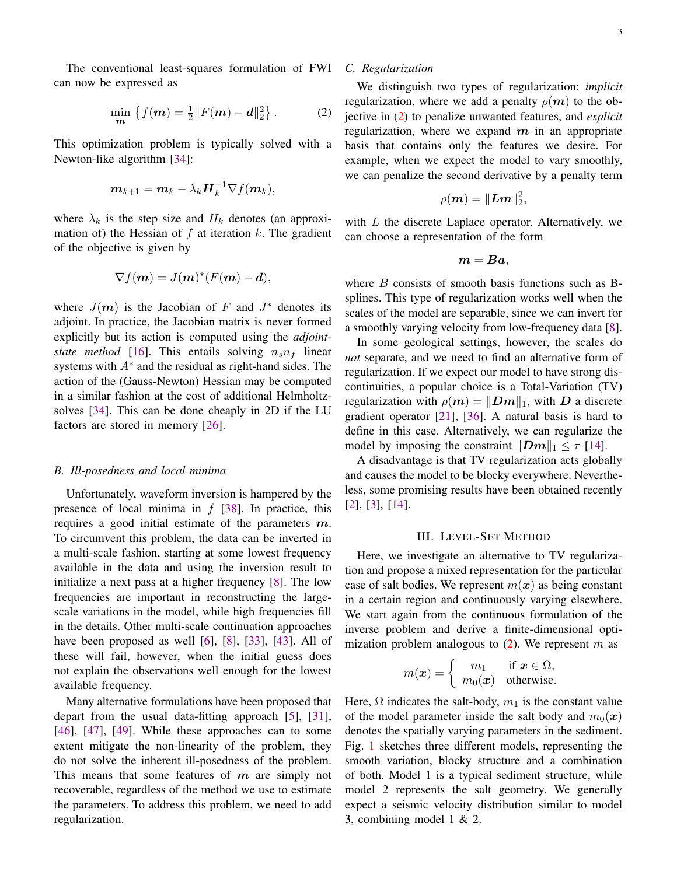The conventional least-squares formulation of FWI can now be expressed as

<span id="page-2-1"></span>
$$
\min_{\mathbf{m}} \left\{ f(\mathbf{m}) = \frac{1}{2} ||F(\mathbf{m}) - \mathbf{d}||_2^2 \right\}.
$$
 (2)

This optimization problem is typically solved with a Newton-like algorithm [\[34\]](#page-10-8):

$$
\boldsymbol{m}_{k+1} = \boldsymbol{m}_k - \lambda_k \boldsymbol{H}_k^{-1} \nabla f(\boldsymbol{m}_k),
$$

where  $\lambda_k$  is the step size and  $H_k$  denotes (an approximation of) the Hessian of  $f$  at iteration  $k$ . The gradient of the objective is given by

$$
\nabla f(\boldsymbol{m}) = J(\boldsymbol{m})^*(F(\boldsymbol{m}) - \boldsymbol{d}),
$$

where  $J(m)$  is the Jacobian of F and  $J^*$  denotes its adjoint. In practice, the Jacobian matrix is never formed explicitly but its action is computed using the *adjointstate method* [\[16\]](#page-9-8). This entails solving  $n_s n_f$  linear systems with  $A^*$  and the residual as right-hand sides. The action of the (Gauss-Newton) Hessian may be computed in a similar fashion at the cost of additional Helmholtzsolves [\[34\]](#page-10-8). This can be done cheaply in 2D if the LU factors are stored in memory [\[26\]](#page-10-9).

#### *B. Ill-posedness and local minima*

Unfortunately, waveform inversion is hampered by the presence of local minima in  $f$  [\[38\]](#page-10-10). In practice, this requires a good initial estimate of the parameters  $m$ . To circumvent this problem, the data can be inverted in a multi-scale fashion, starting at some lowest frequency available in the data and using the inversion result to initialize a next pass at a higher frequency [\[8\]](#page-9-9). The low frequencies are important in reconstructing the largescale variations in the model, while high frequencies fill in the details. Other multi-scale continuation approaches have been proposed as well [\[6\]](#page-9-10), [\[8\]](#page-9-9), [\[33\]](#page-10-11), [\[43\]](#page-10-12). All of these will fail, however, when the initial guess does not explain the observations well enough for the lowest available frequency.

Many alternative formulations have been proposed that depart from the usual data-fitting approach [\[5\]](#page-9-11), [\[31\]](#page-10-13), [\[46\]](#page-11-6), [\[47\]](#page-11-7), [\[49\]](#page-11-8). While these approaches can to some extent mitigate the non-linearity of the problem, they do not solve the inherent ill-posedness of the problem. This means that some features of  $m$  are simply not recoverable, regardless of the method we use to estimate the parameters. To address this problem, we need to add regularization.

#### *C. Regularization*

We distinguish two types of regularization: *implicit* regularization, where we add a penalty  $\rho(m)$  to the objective in [\(2\)](#page-2-1) to penalize unwanted features, and *explicit* regularization, where we expand  $m$  in an appropriate basis that contains only the features we desire. For example, when we expect the model to vary smoothly, we can penalize the second derivative by a penalty term

$$
\rho(\boldsymbol{m})=\|\boldsymbol{L}\boldsymbol{m}\|_2^2,
$$

with  $L$  the discrete Laplace operator. Alternatively, we can choose a representation of the form

$$
\boldsymbol{m} = \boldsymbol{B}\boldsymbol{a},
$$

where  $B$  consists of smooth basis functions such as Bsplines. This type of regularization works well when the scales of the model are separable, since we can invert for a smoothly varying velocity from low-frequency data [\[8\]](#page-9-9).

In some geological settings, however, the scales do *not* separate, and we need to find an alternative form of regularization. If we expect our model to have strong discontinuities, a popular choice is a Total-Variation (TV) regularization with  $\rho(m) = ||Dm||_1$ , with D a discrete gradient operator [\[21\]](#page-10-14), [\[36\]](#page-10-15). A natural basis is hard to define in this case. Alternatively, we can regularize the model by imposing the constraint  $||Dm||_1 \leq \tau$  [\[14\]](#page-9-12).

A disadvantage is that TV regularization acts globally and causes the model to be blocky everywhere. Nevertheless, some promising results have been obtained recently [\[2\]](#page-8-1), [\[3\]](#page-8-2), [\[14\]](#page-9-12).

# III. LEVEL-SET METHOD

<span id="page-2-0"></span>Here, we investigate an alternative to TV regularization and propose a mixed representation for the particular case of salt bodies. We represent  $m(x)$  as being constant in a certain region and continuously varying elsewhere. We start again from the continuous formulation of the inverse problem and derive a finite-dimensional optimization problem analogous to  $(2)$ . We represent m as

$$
m(\boldsymbol{x}) = \begin{cases} m_1 & \text{if } \boldsymbol{x} \in \Omega, \\ m_0(\boldsymbol{x}) & \text{otherwise.} \end{cases}
$$

Here,  $\Omega$  indicates the salt-body,  $m_1$  is the constant value of the model parameter inside the salt body and  $m_0(x)$ denotes the spatially varying parameters in the sediment. Fig. [1](#page-3-0) sketches three different models, representing the smooth variation, blocky structure and a combination of both. Model 1 is a typical sediment structure, while model 2 represents the salt geometry. We generally expect a seismic velocity distribution similar to model 3, combining model 1 & 2.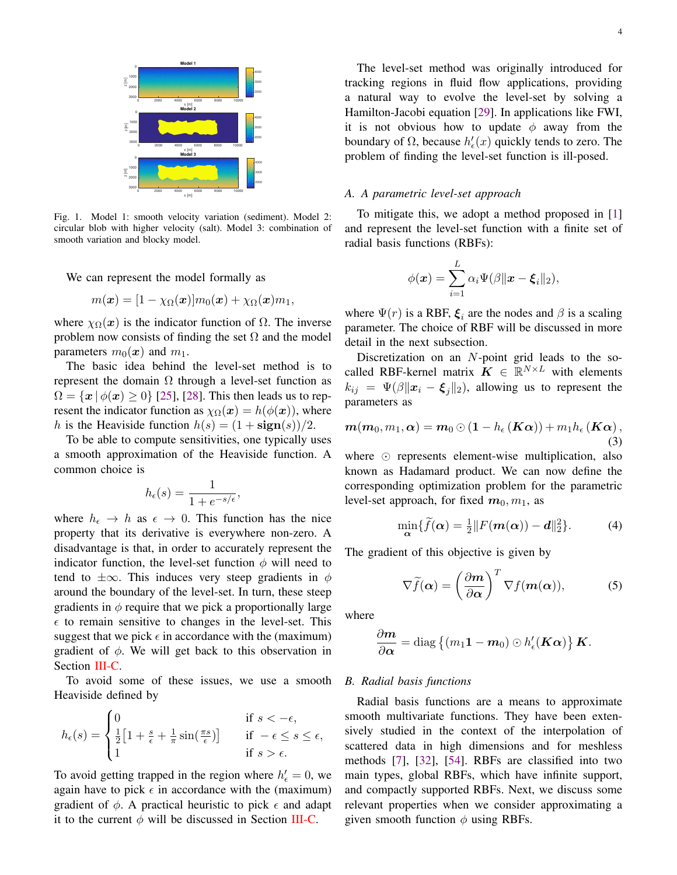

<span id="page-3-0"></span>Fig. 1. Model 1: smooth velocity variation (sediment). Model 2: circular blob with higher velocity (salt). Model 3: combination of smooth variation and blocky model.

We can represent the model formally as

$$
m(\boldsymbol{x}) = [1 - \chi_{\Omega}(\boldsymbol{x})]m_0(\boldsymbol{x}) + \chi_{\Omega}(\boldsymbol{x})m_1,
$$

where  $\chi_{\Omega}(x)$  is the indicator function of  $\Omega$ . The inverse problem now consists of finding the set  $\Omega$  and the model parameters  $m_0(x)$  and  $m_1$ .

The basic idea behind the level-set method is to represent the domain  $\Omega$  through a level-set function as  $\Omega = \{x \mid \phi(x) \geq 0\}$  [\[25\]](#page-10-16), [\[28\]](#page-10-17). This then leads us to represent the indicator function as  $\chi_{\Omega}(x) = h(\phi(x))$ , where h is the Heaviside function  $h(s) = (1 + sign(s))/2$ .

To be able to compute sensitivities, one typically uses a smooth approximation of the Heaviside function. A common choice is

$$
h_{\epsilon}(s) = \frac{1}{1 + e^{-s/\epsilon}},
$$

where  $h_{\epsilon} \to h$  as  $\epsilon \to 0$ . This function has the nice property that its derivative is everywhere non-zero. A disadvantage is that, in order to accurately represent the indicator function, the level-set function  $\phi$  will need to tend to  $\pm\infty$ . This induces very steep gradients in  $\phi$ around the boundary of the level-set. In turn, these steep gradients in  $\phi$  require that we pick a proportionally large  $\epsilon$  to remain sensitive to changes in the level-set. This suggest that we pick  $\epsilon$  in accordance with the (maximum) gradient of  $\phi$ . We will get back to this observation in Section [III-C.](#page-4-0)

To avoid some of these issues, we use a smooth Heaviside defined by

$$
h_{\epsilon}(s) = \begin{cases} 0 & \text{if } s < -\epsilon, \\ \frac{1}{2} \left[ 1 + \frac{s}{\epsilon} + \frac{1}{\pi} \sin(\frac{\pi s}{\epsilon}) \right] & \text{if } -\epsilon \le s \le \epsilon, \\ 1 & \text{if } s > \epsilon. \end{cases}
$$

To avoid getting trapped in the region where  $h'_\epsilon = 0$ , we again have to pick  $\epsilon$  in accordance with the (maximum) gradient of  $\phi$ . A practical heuristic to pick  $\epsilon$  and adapt it to the current  $\phi$  will be discussed in Section [III-C.](#page-4-0)

The level-set method was originally introduced for tracking regions in fluid flow applications, providing a natural way to evolve the level-set by solving a Hamilton-Jacobi equation [\[29\]](#page-10-18). In applications like FWI, it is not obvious how to update  $\phi$  away from the boundary of  $\Omega$ , because  $h'_{\epsilon}(x)$  quickly tends to zero. The problem of finding the level-set function is ill-posed.

# *A. A parametric level-set approach*

To mitigate this, we adopt a method proposed in [\[1\]](#page-8-3) and represent the level-set function with a finite set of radial basis functions (RBFs):

$$
\phi(\boldsymbol{x}) = \sum_{i=1}^{L} \alpha_i \Psi(\beta || \boldsymbol{x} - \boldsymbol{\xi}_i ||_2),
$$

where  $\Psi(r)$  is a RBF,  $\xi_i$  are the nodes and  $\beta$  is a scaling parameter. The choice of RBF will be discussed in more detail in the next subsection.

Discretization on an N-point grid leads to the socalled RBF-kernel matrix  $\boldsymbol{K} \in \mathbb{R}^{N \times L}$  with elements  $k_{ij} = \Psi(\beta || \mathbf{x}_i - \boldsymbol{\xi}_j ||_2)$ , allowing us to represent the parameters as

<span id="page-3-3"></span>
$$
\boldsymbol{m}(\boldsymbol{m}_0, m_1,\boldsymbol{\alpha}) = \boldsymbol{m}_0 \odot (1-h_{\epsilon}(\boldsymbol{K}\boldsymbol{\alpha})) + m_1 h_{\epsilon}(\boldsymbol{K}\boldsymbol{\alpha}), \tag{3}
$$

where  $\odot$  represents element-wise multiplication, also known as Hadamard product. We can now define the corresponding optimization problem for the parametric level-set approach, for fixed  $m_0, m_1$ , as

<span id="page-3-1"></span>
$$
\min_{\mathbf{\alpha}} \{ \widetilde{f}(\mathbf{\alpha}) = \frac{1}{2} || F(m(\mathbf{\alpha})) - \mathbf{d} ||_2^2 \}.
$$
 (4)

The gradient of this objective is given by

<span id="page-3-2"></span>
$$
\nabla \widetilde{f}(\alpha) = \left(\frac{\partial \mathbf{m}}{\partial \alpha}\right)^T \nabla f(\mathbf{m}(\alpha)),\tag{5}
$$

where

$$
\frac{\partial \boldsymbol{m}}{\partial \boldsymbol{\alpha}} = \text{diag} \left\{ (m_1 \mathbf{1} - \boldsymbol{m}_0) \odot h'_{\epsilon}(\boldsymbol{K} \boldsymbol{\alpha}) \right\} \boldsymbol{K}.
$$

#### *B. Radial basis functions*

Radial basis functions are a means to approximate smooth multivariate functions. They have been extensively studied in the context of the interpolation of scattered data in high dimensions and for meshless methods [\[7\]](#page-9-13), [\[32\]](#page-10-19), [\[54\]](#page-11-9). RBFs are classified into two main types, global RBFs, which have infinite support, and compactly supported RBFs. Next, we discuss some relevant properties when we consider approximating a given smooth function  $\phi$  using RBFs.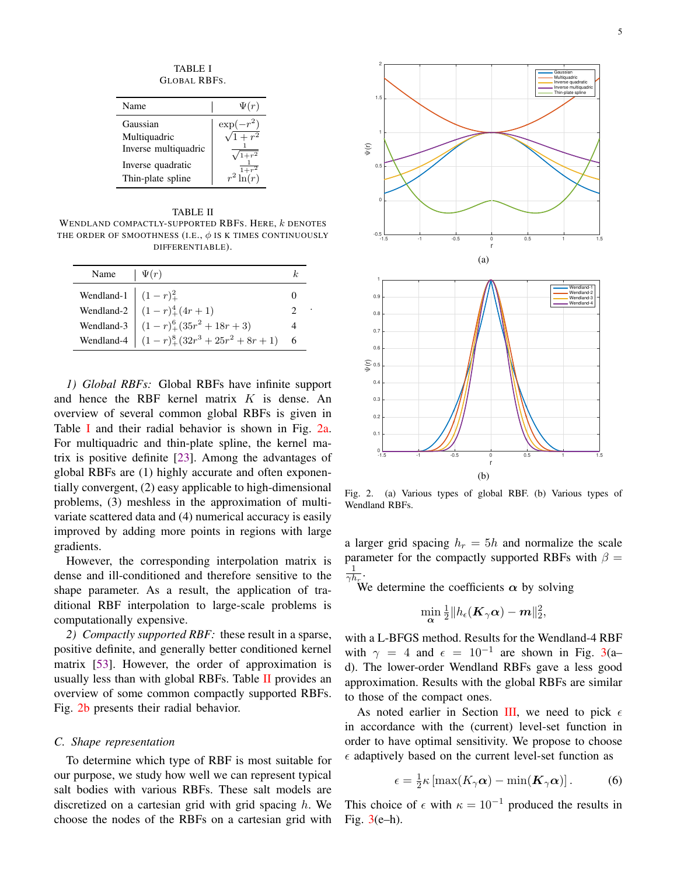TABLE I GLOBAL RBFS.

<span id="page-4-1"></span>

| Name                 | $\Psi(r)$      |
|----------------------|----------------|
| Gaussian             | $\exp(-r^2)$   |
| Multiquadric         | $\sqrt{1+r^2}$ |
| Inverse multiquadric |                |
| Inverse quadratic    |                |
| Thin-plate spline    |                |

#### TABLE II

<span id="page-4-3"></span>WENDLAND COMPACTLY-SUPPORTED RBFS. HERE,  $k$  denotes THE ORDER OF SMOOTHNESS (I.E.,  $\phi$  is K TIMES CONTINUOUSLY DIFFERENTIABLE).

| Name $ \Psi(r) $ |                                                                                                                                                                                               |  |
|------------------|-----------------------------------------------------------------------------------------------------------------------------------------------------------------------------------------------|--|
|                  | Wendland-1 $\begin{cases} (1-r)_+^2 \\ (1-r)_+^4(4r+1) \\ (1-r)_+^6(35r^2+18r+3) \end{cases}$<br>Wendland-3 $\begin{cases} (1-r)_+^6(35r^2+18r+3) \\ (1-r)_+^8(32r^3+25r^2+8r+1) \end{cases}$ |  |
|                  |                                                                                                                                                                                               |  |
|                  |                                                                                                                                                                                               |  |
|                  |                                                                                                                                                                                               |  |

.

*1) Global RBFs:* Global RBFs have infinite support and hence the RBF kernel matrix K is dense. An overview of several common global RBFs is given in Table [I](#page-4-1) and their radial behavior is shown in Fig. [2a.](#page-4-2) For multiquadric and thin-plate spline, the kernel matrix is positive definite [\[23\]](#page-10-20). Among the advantages of global RBFs are (1) highly accurate and often exponentially convergent, (2) easy applicable to high-dimensional problems, (3) meshless in the approximation of multivariate scattered data and (4) numerical accuracy is easily improved by adding more points in regions with large gradients.

However, the corresponding interpolation matrix is dense and ill-conditioned and therefore sensitive to the shape parameter. As a result, the application of traditional RBF interpolation to large-scale problems is computationally expensive.

*2) Compactly supported RBF:* these result in a sparse, positive definite, and generally better conditioned kernel matrix [\[53\]](#page-11-10). However, the order of approximation is usually less than with global RBFs. Table [II](#page-4-3) provides an overview of some common compactly supported RBFs. Fig. [2b](#page-4-4) presents their radial behavior.

# <span id="page-4-0"></span>*C. Shape representation*

To determine which type of RBF is most suitable for our purpose, we study how well we can represent typical salt bodies with various RBFs. These salt models are discretized on a cartesian grid with grid spacing  $h$ . We choose the nodes of the RBFs on a cartesian grid with

<span id="page-4-2"></span>

<span id="page-4-4"></span>Fig. 2. (a) Various types of global RBF. (b) Various types of Wendland RBFs.

a larger grid spacing  $h_r = 5h$  and normalize the scale parameter for the compactly supported RBFs with  $\beta =$ 1  $\frac{1}{\gamma h_r}.$ 

We determine the coefficients  $\alpha$  by solving

$$
\min_{\boldsymbol \alpha}\tfrac{1}{2}\|h_{\epsilon}(\boldsymbol K_{\gamma} \boldsymbol \alpha)-\boldsymbol m\|_2^2,
$$

with a L-BFGS method. Results for the Wendland-4 RBF with  $\gamma = 4$  and  $\epsilon = 10^{-1}$  are shown in Fig. [3\(](#page-5-1)a– d). The lower-order Wendland RBFs gave a less good approximation. Results with the global RBFs are similar to those of the compact ones.

As noted earlier in Section [III,](#page-2-0) we need to pick  $\epsilon$ in accordance with the (current) level-set function in order to have optimal sensitivity. We propose to choose  $\epsilon$  adaptively based on the current level-set function as

<span id="page-4-5"></span>
$$
\epsilon = \frac{1}{2}\kappa \left[ \max(K_{\gamma}\alpha) - \min(K_{\gamma}\alpha) \right].
$$
 (6)

This choice of  $\epsilon$  with  $\kappa = 10^{-1}$  produced the results in Fig.  $3(e-h)$  $3(e-h)$ .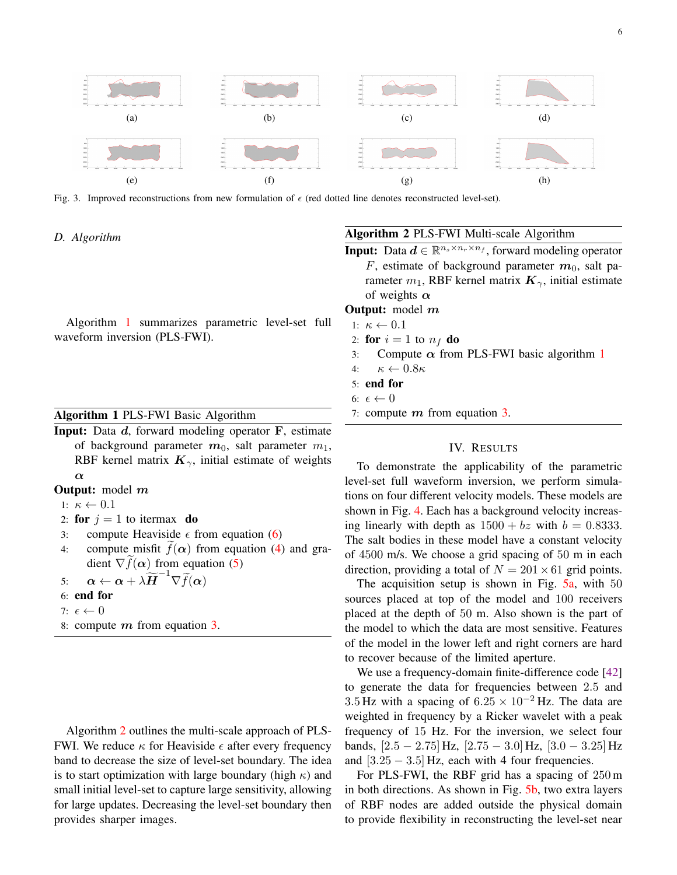

<span id="page-5-1"></span>Fig. 3. Improved reconstructions from new formulation of  $\epsilon$  (red dotted line denotes reconstructed level-set).

# *D. Algorithm*

Algorithm [1](#page-5-2) summarizes parametric level-set full waveform inversion (PLS-FWI).

# <span id="page-5-2"></span>Algorithm 1 PLS-FWI Basic Algorithm

- Input: Data d, forward modeling operator F, estimate of background parameter  $m_0$ , salt parameter  $m_1$ , RBF kernel matrix  $K_{\gamma}$ , initial estimate of weights α
- **Output:** model m
- 1:  $\kappa \leftarrow 0.1$
- 2: for  $j = 1$  to itermax do
- 3: compute Heaviside  $\epsilon$  from equation [\(6\)](#page-4-5)
- 4: compute misfit  $f(\alpha)$  from equation [\(4\)](#page-3-1) and gradient  $\nabla f(\alpha)$  from equation [\(5\)](#page-3-2)

5: 
$$
\alpha \leftarrow \alpha + \lambda \widetilde{H}^{-1} \nabla \widetilde{f}(\alpha)
$$

- 6: end for
- 7:  $\epsilon \leftarrow 0$
- 8: compute  $m$  from equation [3.](#page-3-3)

Algorithm [2](#page-5-3) outlines the multi-scale approach of PLS-FWI. We reduce  $\kappa$  for Heaviside  $\epsilon$  after every frequency band to decrease the size of level-set boundary. The idea is to start optimization with large boundary (high  $\kappa$ ) and small initial level-set to capture large sensitivity, allowing for large updates. Decreasing the level-set boundary then provides sharper images.

# <span id="page-5-3"></span>Algorithm 2 PLS-FWI Multi-scale Algorithm

**Input:** Data  $d \in \mathbb{R}^{n_s \times n_r \times n_f}$ , forward modeling operator F, estimate of background parameter  $m_0$ , salt parameter  $m_1$ , RBF kernel matrix  $\mathbf{K}_{\gamma}$ , initial estimate of weights  $\alpha$ 

**Output:** model m

- 1:  $\kappa \leftarrow 0.1$
- 2: for  $i = 1$  to  $n_f$  do
- 3: Compute  $\alpha$  from PLS-FWI basic algorithm [1](#page-5-2)

4:  $\kappa \leftarrow 0.8\kappa$ 

5: end for

6:  $\epsilon \leftarrow 0$ 

7: compute  $m$  from equation [3.](#page-3-3)

# IV. RESULTS

<span id="page-5-0"></span>To demonstrate the applicability of the parametric level-set full waveform inversion, we perform simulations on four different velocity models. These models are shown in Fig. [4.](#page-7-1) Each has a background velocity increasing linearly with depth as  $1500 + bz$  with  $b = 0.8333$ . The salt bodies in these model have a constant velocity of 4500 m/s. We choose a grid spacing of 50 m in each direction, providing a total of  $N = 201 \times 61$  grid points.

The acquisition setup is shown in Fig.  $5a$ , with 50 sources placed at top of the model and 100 receivers placed at the depth of 50 m. Also shown is the part of the model to which the data are most sensitive. Features of the model in the lower left and right corners are hard to recover because of the limited aperture.

We use a frequency-domain finite-difference code [\[42\]](#page-10-21) to generate the data for frequencies between 2.5 and 3.5 Hz with a spacing of  $6.25 \times 10^{-2}$  Hz. The data are weighted in frequency by a Ricker wavelet with a peak frequency of 15 Hz. For the inversion, we select four bands,  $[2.5 - 2.75]$  Hz,  $[2.75 - 3.0]$  Hz,  $[3.0 - 3.25]$  Hz and  $[3.25 - 3.5]$  Hz, each with 4 four frequencies.

For PLS-FWI, the RBF grid has a spacing of 250 m in both directions. As shown in Fig. [5b,](#page-7-3) two extra layers of RBF nodes are added outside the physical domain to provide flexibility in reconstructing the level-set near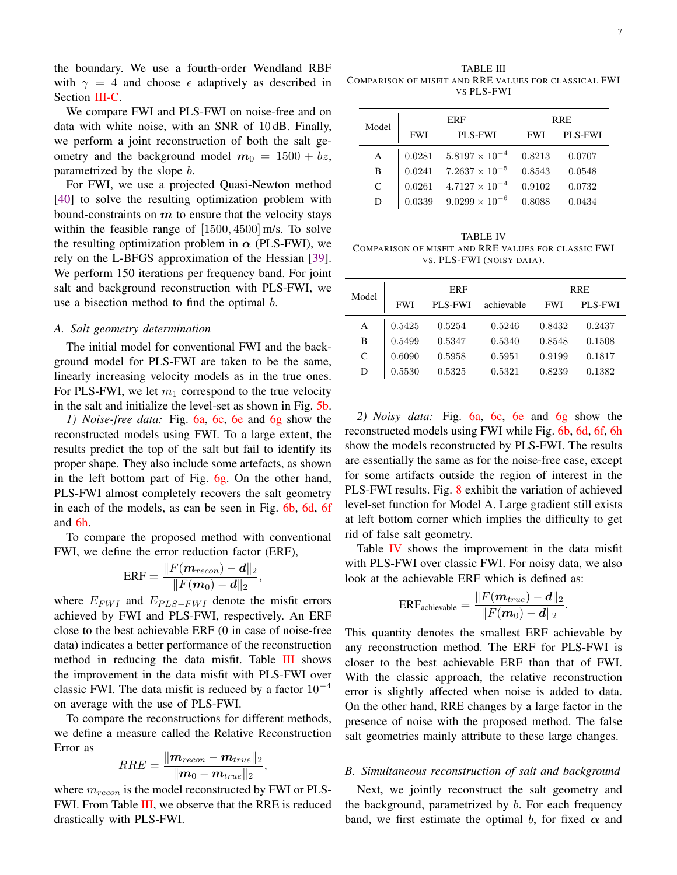the boundary. We use a fourth-order Wendland RBF with  $\gamma = 4$  and choose  $\epsilon$  adaptively as described in Section [III-C.](#page-4-0)

We compare FWI and PLS-FWI on noise-free and on data with white noise, with an SNR of 10 dB. Finally, we perform a joint reconstruction of both the salt geometry and the background model  $m_0 = 1500 + bz$ , parametrized by the slope b.

For FWI, we use a projected Quasi-Newton method [\[40\]](#page-10-22) to solve the resulting optimization problem with bound-constraints on  $m$  to ensure that the velocity stays within the feasible range of [1500, 4500] m/s. To solve the resulting optimization problem in  $\alpha$  (PLS-FWI), we rely on the L-BFGS approximation of the Hessian [\[39\]](#page-10-23). We perform 150 iterations per frequency band. For joint salt and background reconstruction with PLS-FWI, we use a bisection method to find the optimal  $b$ .

#### *A. Salt geometry determination*

The initial model for conventional FWI and the background model for PLS-FWI are taken to be the same, linearly increasing velocity models as in the true ones. For PLS-FWI, we let  $m_1$  correspond to the true velocity in the salt and initialize the level-set as shown in Fig. [5b.](#page-7-3)

*1) Noise-free data:* Fig. [6a,](#page-8-4) [6c,](#page-8-5) [6e](#page-8-6) and [6g](#page-8-7) show the reconstructed models using FWI. To a large extent, the results predict the top of the salt but fail to identify its proper shape. They also include some artefacts, as shown in the left bottom part of Fig. [6g.](#page-8-7) On the other hand, PLS-FWI almost completely recovers the salt geometry in each of the models, as can be seen in Fig. [6b,](#page-8-8) [6d,](#page-8-9) [6f](#page-8-10) and [6h.](#page-8-11)

To compare the proposed method with conventional FWI, we define the error reduction factor (ERF),

$$
\text{ERF} = \frac{\| F(\bm{m}_{recon}) - \bm{d} \|_2}{\| F(\bm{m}_0) - \bm{d} \|_2},
$$

where  $E_{FWI}$  and  $E_{PLS-FWI}$  denote the misfit errors achieved by FWI and PLS-FWI, respectively. An ERF close to the best achievable ERF (0 in case of noise-free data) indicates a better performance of the reconstruction method in reducing the data misfit. Table [III](#page-6-0) shows the improvement in the data misfit with PLS-FWI over classic FWI. The data misfit is reduced by a factor  $10^{-4}$ on average with the use of PLS-FWI.

To compare the reconstructions for different methods, we define a measure called the Relative Reconstruction Error as

$$
RRE = \frac{\|\boldsymbol{m}_{recon} - \boldsymbol{m}_{true}\|_2}{\|\boldsymbol{m}_0 - \boldsymbol{m}_{true}\|_2},
$$

where  $m_{recon}$  is the model reconstructed by FWI or PLS-FWI. From Table [III,](#page-6-0) we observe that the RRE is reduced drastically with PLS-FWI.

<span id="page-6-0"></span>TABLE III COMPARISON OF MISFIT AND RRE VALUES FOR CLASSICAL FWI VS PLS-FWI

| Model | ERF        |                                  | <b>RRE</b> |         |
|-------|------------|----------------------------------|------------|---------|
|       | <b>FWI</b> | <b>PLS-FWI</b>                   | <b>FWI</b> | PLS-FWI |
| A     |            | $0.0281$ $5.8197 \times 10^{-4}$ | 0.8213     | 0.0707  |
| B     | 0.0241     | $7.2637 \times 10^{-5}$          | 0.8543     | 0.0548  |
| C     | 0.0261     | $4.7127 \times 10^{-4}$          | 0.9102     | 0.0732  |
| D     | 0.0339     | $9.0299 \times 10^{-6}$          | 0.8088     | 0.0434  |

<span id="page-6-1"></span>TABLE IV COMPARISON OF MISFIT AND RRE VALUES FOR CLASSIC FWI VS. PLS-FWI (NOISY DATA).

| Model | ERF        |                |            | <b>RRE</b> |         |
|-------|------------|----------------|------------|------------|---------|
|       | <b>FWI</b> | <b>PLS-FWI</b> | achievable | <b>FWI</b> | PLS-FWI |
| А     | 0.5425     | 0.5254         | 0.5246     | 0.8432     | 0.2437  |
| B     | 0.5499     | 0.5347         | 0.5340     | 0.8548     | 0.1508  |
| C     | 0.6090     | 0.5958         | 0.5951     | 0.9199     | 0.1817  |
| D     | 0.5530     | 0.5325         | 0.5321     | 0.8239     | 0.1382  |

*2) Noisy data:* Fig. [6a,](#page-8-4) [6c,](#page-8-5) [6e](#page-8-6) and [6g](#page-8-7) show the reconstructed models using FWI while Fig. [6b,](#page-8-8) [6d,](#page-8-9) [6f,](#page-8-10) [6h](#page-8-11) show the models reconstructed by PLS-FWI. The results are essentially the same as for the noise-free case, except for some artifacts outside the region of interest in the PLS-FWI results. Fig. [8](#page-9-14) exhibit the variation of achieved level-set function for Model A. Large gradient still exists at left bottom corner which implies the difficulty to get rid of false salt geometry.

Table **[IV](#page-6-1)** shows the improvement in the data misfit with PLS-FWI over classic FWI. For noisy data, we also look at the achievable ERF which is defined as:

$$
\text{ERF}_{\text{achievable}} = \frac{\|F(\boldsymbol{m}_{true}) - \boldsymbol{d}\|_2}{\|F(\boldsymbol{m}_0) - \boldsymbol{d}\|_2}
$$

.

This quantity denotes the smallest ERF achievable by any reconstruction method. The ERF for PLS-FWI is closer to the best achievable ERF than that of FWI. With the classic approach, the relative reconstruction error is slightly affected when noise is added to data. On the other hand, RRE changes by a large factor in the presence of noise with the proposed method. The false salt geometries mainly attribute to these large changes.

#### *B. Simultaneous reconstruction of salt and background*

Next, we jointly reconstruct the salt geometry and the background, parametrized by b. For each frequency band, we first estimate the optimal b, for fixed  $\alpha$  and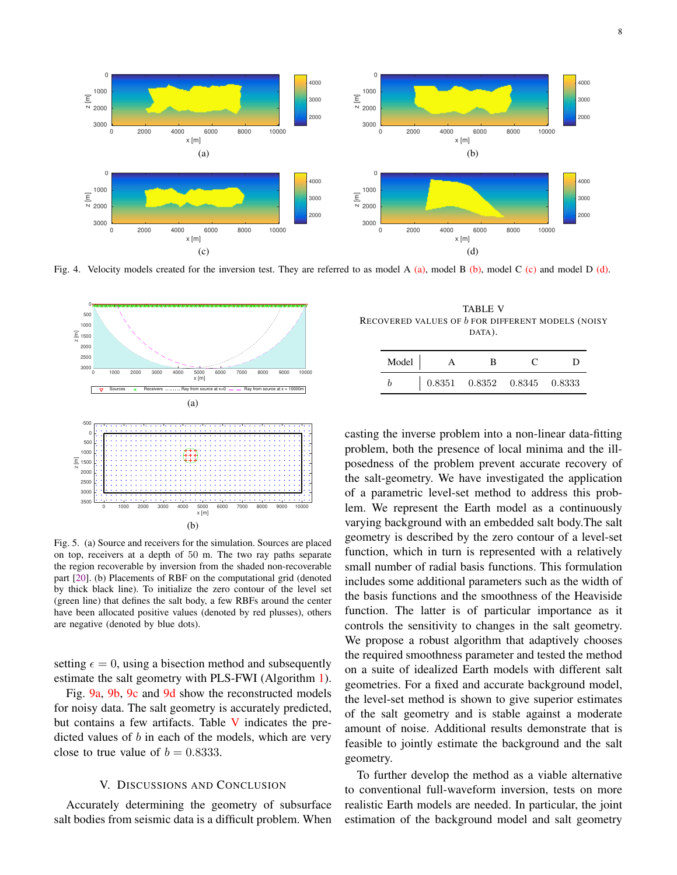<span id="page-7-4"></span>

<span id="page-7-6"></span><span id="page-7-1"></span>Fig. 4. Velocity models created for the inversion test. They are referred to as model A  $(a)$ , model B  $(b)$ , model C  $(c)$  and model D  $(d)$ .

<span id="page-7-2"></span>

<span id="page-7-3"></span>Fig. 5. (a) Source and receivers for the simulation. Sources are placed on top, receivers at a depth of 50 m. The two ray paths separate the region recoverable by inversion from the shaded non-recoverable part [\[20\]](#page-10-24). (b) Placements of RBF on the computational grid (denoted by thick black line). To initialize the zero contour of the level set (green line) that defines the salt body, a few RBFs around the center have been allocated positive values (denoted by red plusses), others are negative (denoted by blue dots).

setting  $\epsilon = 0$ , using a bisection method and subsequently estimate the salt geometry with PLS-FWI (Algorithm [1\)](#page-5-2).

Fig. [9a,](#page-10-25) [9b,](#page-10-26) [9c](#page-10-27) and [9d](#page-10-28) show the reconstructed models for noisy data. The salt geometry is accurately predicted, but contains a few artifacts. Table [V](#page-7-8) indicates the predicted values of b in each of the models, which are very close to true value of  $b = 0.8333$ .

# V. DISCUSSIONS AND CONCLUSION

<span id="page-7-0"></span>Accurately determining the geometry of subsurface salt bodies from seismic data is a difficult problem. When

<span id="page-7-8"></span><span id="page-7-7"></span><span id="page-7-5"></span>TABLE V RECOVERED VALUES OF b FOR DIFFERENT MODELS (NOISY DATA).

| Model |                                                                                               |  |  |
|-------|-----------------------------------------------------------------------------------------------|--|--|
|       | $\begin{array}{ c c c c c c } \hline 0.8351 & 0.8352 & 0.8345 & 0.8333 \\ \hline \end{array}$ |  |  |

casting the inverse problem into a non-linear data-fitting problem, both the presence of local minima and the illposedness of the problem prevent accurate recovery of the salt-geometry. We have investigated the application of a parametric level-set method to address this problem. We represent the Earth model as a continuously varying background with an embedded salt body.The salt geometry is described by the zero contour of a level-set function, which in turn is represented with a relatively small number of radial basis functions. This formulation includes some additional parameters such as the width of the basis functions and the smoothness of the Heaviside function. The latter is of particular importance as it controls the sensitivity to changes in the salt geometry. We propose a robust algorithm that adaptively chooses the required smoothness parameter and tested the method on a suite of idealized Earth models with different salt geometries. For a fixed and accurate background model, the level-set method is shown to give superior estimates of the salt geometry and is stable against a moderate amount of noise. Additional results demonstrate that is feasible to jointly estimate the background and the salt geometry.

To further develop the method as a viable alternative to conventional full-waveform inversion, tests on more realistic Earth models are needed. In particular, the joint estimation of the background model and salt geometry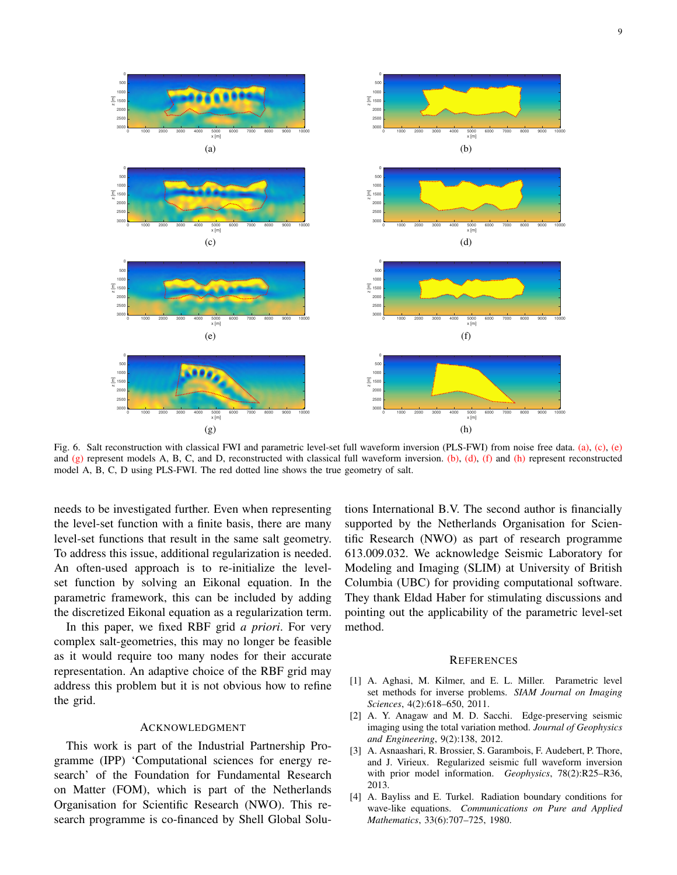<span id="page-8-8"></span><span id="page-8-5"></span><span id="page-8-4"></span>

<span id="page-8-7"></span><span id="page-8-6"></span>Fig. 6. Salt reconstruction with classical FWI and parametric level-set full waveform inversion (PLS-FWI) from noise free data. [\(a\),](#page-8-4) [\(c\),](#page-8-5) [\(e\)](#page-8-6) and  $(g)$  represent models A, B, C, and D, reconstructed with classical full waveform inversion. [\(b\),](#page-8-8) [\(d\),](#page-8-9) [\(f\)](#page-8-10) and [\(h\)](#page-8-11) represent reconstructed model A, B, C, D using PLS-FWI. The red dotted line shows the true geometry of salt.

needs to be investigated further. Even when representing the level-set function with a finite basis, there are many level-set functions that result in the same salt geometry. To address this issue, additional regularization is needed. An often-used approach is to re-initialize the levelset function by solving an Eikonal equation. In the parametric framework, this can be included by adding the discretized Eikonal equation as a regularization term.

In this paper, we fixed RBF grid *a priori*. For very complex salt-geometries, this may no longer be feasible as it would require too many nodes for their accurate representation. An adaptive choice of the RBF grid may address this problem but it is not obvious how to refine the grid.

#### ACKNOWLEDGMENT

This work is part of the Industrial Partnership Programme (IPP) 'Computational sciences for energy research' of the Foundation for Fundamental Research on Matter (FOM), which is part of the Netherlands Organisation for Scientific Research (NWO). This research programme is co-financed by Shell Global Solu<span id="page-8-11"></span><span id="page-8-10"></span><span id="page-8-9"></span>tions International B.V. The second author is financially supported by the Netherlands Organisation for Scientific Research (NWO) as part of research programme 613.009.032. We acknowledge Seismic Laboratory for Modeling and Imaging (SLIM) at University of British Columbia (UBC) for providing computational software. They thank Eldad Haber for stimulating discussions and pointing out the applicability of the parametric level-set method.

#### **REFERENCES**

- <span id="page-8-3"></span>[1] A. Aghasi, M. Kilmer, and E. L. Miller. Parametric level set methods for inverse problems. *SIAM Journal on Imaging Sciences*, 4(2):618–650, 2011.
- <span id="page-8-1"></span>[2] A. Y. Anagaw and M. D. Sacchi. Edge-preserving seismic imaging using the total variation method. *Journal of Geophysics and Engineering*, 9(2):138, 2012.
- <span id="page-8-2"></span>[3] A. Asnaashari, R. Brossier, S. Garambois, F. Audebert, P. Thore, and J. Virieux. Regularized seismic full waveform inversion with prior model information. *Geophysics*, 78(2):R25–R36, 2013.
- <span id="page-8-0"></span>[4] A. Bayliss and E. Turkel. Radiation boundary conditions for wave-like equations. *Communications on Pure and Applied Mathematics*, 33(6):707–725, 1980.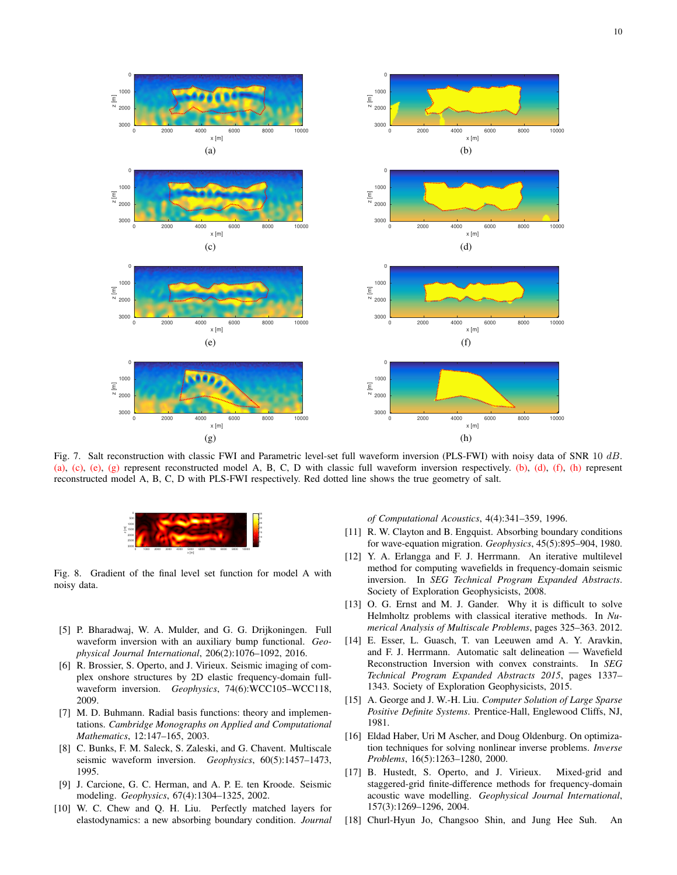

Fig. 7. Salt reconstruction with classic FWI and Parametric level-set full waveform inversion (PLS-FWI) with noisy data of SNR 10 dB. [\(a\),](#page-8-4) [\(c\),](#page-8-5) [\(e\),](#page-8-6) [\(g\)](#page-8-7) represent reconstructed model A, B, C, D with classic full waveform inversion respectively. [\(b\),](#page-8-8) [\(d\),](#page-8-9) [\(f\),](#page-8-10) [\(h\)](#page-8-11) represent reconstructed model A, B, C, D with PLS-FWI respectively. Red dotted line shows the true geometry of salt.



<span id="page-9-14"></span>Fig. 8. Gradient of the final level set function for model A with noisy data.

- <span id="page-9-11"></span>[5] P. Bharadwaj, W. A. Mulder, and G. G. Drijkoningen. Full waveform inversion with an auxiliary bump functional. *Geophysical Journal International*, 206(2):1076–1092, 2016.
- <span id="page-9-10"></span>[6] R. Brossier, S. Operto, and J. Virieux. Seismic imaging of complex onshore structures by 2D elastic frequency-domain fullwaveform inversion. *Geophysics*, 74(6):WCC105–WCC118, 2009.
- <span id="page-9-13"></span>[7] M. D. Buhmann. Radial basis functions: theory and implementations. *Cambridge Monographs on Applied and Computational Mathematics*, 12:147–165, 2003.
- <span id="page-9-9"></span>[8] C. Bunks, F. M. Saleck, S. Zaleski, and G. Chavent. Multiscale seismic waveform inversion. *Geophysics*, 60(5):1457–1473, 1995.
- <span id="page-9-0"></span>[9] J. Carcione, G. C. Herman, and A. P. E. ten Kroode. Seismic modeling. *Geophysics*, 67(4):1304–1325, 2002.
- <span id="page-9-2"></span>[10] W. C. Chew and Q. H. Liu. Perfectly matched layers for elastodynamics: a new absorbing boundary condition. *Journal*

*of Computational Acoustics*, 4(4):341–359, 1996.

- <span id="page-9-3"></span>[11] R. W. Clayton and B. Engquist. Absorbing boundary conditions for wave-equation migration. *Geophysics*, 45(5):895–904, 1980.
- <span id="page-9-6"></span>[12] Y. A. Erlangga and F. J. Herrmann. An iterative multilevel method for computing wavefields in frequency-domain seismic inversion. In *SEG Technical Program Expanded Abstracts*. Society of Exploration Geophysicists, 2008.
- <span id="page-9-7"></span>[13] O. G. Ernst and M. J. Gander. Why it is difficult to solve Helmholtz problems with classical iterative methods. In *Numerical Analysis of Multiscale Problems*, pages 325–363. 2012.
- <span id="page-9-12"></span>[14] E. Esser, L. Guasch, T. van Leeuwen amd A. Y. Aravkin, and F. J. Herrmann. Automatic salt delineation — Wavefield Reconstruction Inversion with convex constraints. In *SEG Technical Program Expanded Abstracts 2015*, pages 1337– 1343. Society of Exploration Geophysicists, 2015.
- <span id="page-9-4"></span>[15] A. George and J. W.-H. Liu. *Computer Solution of Large Sparse Positive Definite Systems*. Prentice-Hall, Englewood Cliffs, NJ, 1981.
- <span id="page-9-8"></span>[16] Eldad Haber, Uri M Ascher, and Doug Oldenburg. On optimization techniques for solving nonlinear inverse problems. *Inverse Problems*, 16(5):1263–1280, 2000.
- <span id="page-9-5"></span>[17] B. Hustedt, S. Operto, and J. Virieux. Mixed-grid and staggered-grid finite-difference methods for frequency-domain acoustic wave modelling. *Geophysical Journal International*, 157(3):1269–1296, 2004.
- <span id="page-9-1"></span>[18] Churl-Hyun Jo, Changsoo Shin, and Jung Hee Suh. An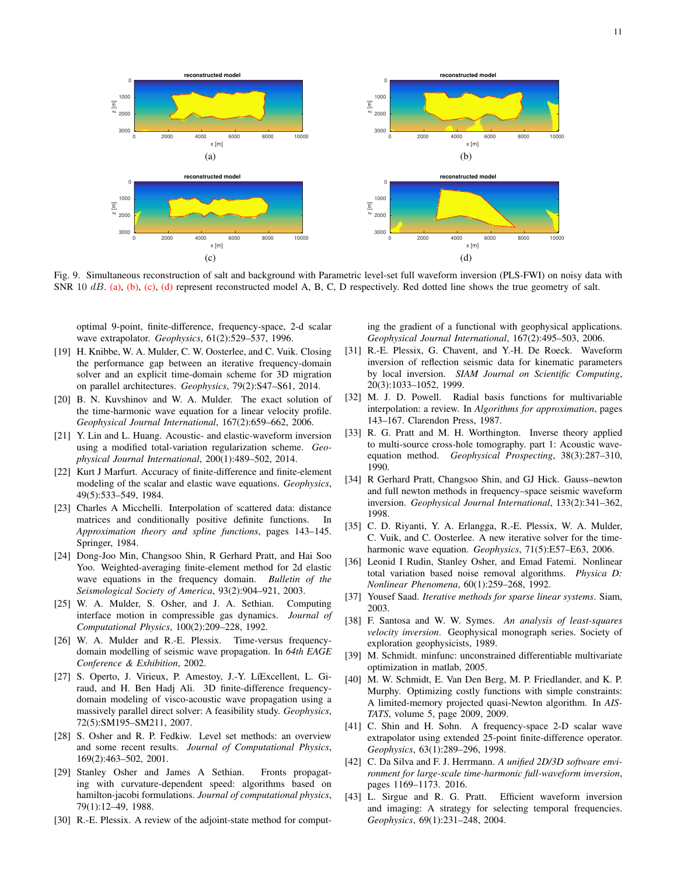<span id="page-10-25"></span>

<span id="page-10-27"></span>Fig. 9. Simultaneous reconstruction of salt and background with Parametric level-set full waveform inversion (PLS-FWI) on noisy data with SNR 10 dB. [\(a\),](#page-10-25) [\(b\),](#page-10-26) [\(c\),](#page-10-27) [\(d\)](#page-10-28) represent reconstructed model A, B, C, D respectively. Red dotted line shows the true geometry of salt.

optimal 9-point, finite-difference, frequency-space, 2-d scalar wave extrapolator. *Geophysics*, 61(2):529–537, 1996.

- <span id="page-10-4"></span>[19] H. Knibbe, W. A. Mulder, C. W. Oosterlee, and C. Vuik. Closing the performance gap between an iterative frequency-domain solver and an explicit time-domain scheme for 3D migration on parallel architectures. *Geophysics*, 79(2):S47–S61, 2014.
- <span id="page-10-24"></span>[20] B. N. Kuvshinov and W. A. Mulder. The exact solution of the time-harmonic wave equation for a linear velocity profile. *Geophysical Journal International*, 167(2):659–662, 2006.
- <span id="page-10-14"></span>[21] Y. Lin and L. Huang. Acoustic- and elastic-waveform inversion using a modified total-variation regularization scheme. *Geophysical Journal International*, 200(1):489–502, 2014.
- <span id="page-10-1"></span>[22] Kurt J Marfurt. Accuracy of finite-difference and finite-element modeling of the scalar and elastic wave equations. *Geophysics*, 49(5):533–549, 1984.
- <span id="page-10-20"></span>[23] Charles A Micchelli. Interpolation of scattered data: distance matrices and conditionally positive definite functions. In *Approximation theory and spline functions*, pages 143–145. Springer, 1984.
- <span id="page-10-2"></span>[24] Dong-Joo Min, Changsoo Shin, R Gerhard Pratt, and Hai Soo Yoo. Weighted-averaging finite-element method for 2d elastic wave equations in the frequency domain. *Bulletin of the Seismological Society of America*, 93(2):904–921, 2003.
- <span id="page-10-16"></span>[25] W. A. Mulder, S. Osher, and J. A. Sethian. Computing interface motion in compressible gas dynamics. *Journal of Computational Physics*, 100(2):209–228, 1992.
- <span id="page-10-9"></span>[26] W. A. Mulder and R.-E. Plessix. Time-versus frequencydomain modelling of seismic wave propagation. In *64th EAGE Conference & Exhibition*, 2002.
- <span id="page-10-3"></span>[27] S. Operto, J. Virieux, P. Amestoy, J.-Y. LíExcellent, L. Giraud, and H. Ben Hadj Ali. 3D finite-difference frequencydomain modeling of visco-acoustic wave propagation using a massively parallel direct solver: A feasibility study. *Geophysics*, 72(5):SM195–SM211, 2007.
- <span id="page-10-17"></span>[28] S. Osher and R. P. Fedkiw. Level set methods: an overview and some recent results. *Journal of Computational Physics*, 169(2):463–502, 2001.
- <span id="page-10-18"></span>[29] Stanley Osher and James A Sethian. Fronts propagating with curvature-dependent speed: algorithms based on hamilton-jacobi formulations. *Journal of computational physics*, 79(1):12–49, 1988.
- <span id="page-10-5"></span>[30] R.-E. Plessix. A review of the adjoint-state method for comput-

<span id="page-10-28"></span><span id="page-10-26"></span>ing the gradient of a functional with geophysical applications. *Geophysical Journal International*, 167(2):495–503, 2006.

- <span id="page-10-13"></span>[31] R.-E. Plessix, G. Chavent, and Y.-H. De Roeck. Waveform inversion of reflection seismic data for kinematic parameters by local inversion. *SIAM Journal on Scientific Computing*, 20(3):1033–1052, 1999.
- <span id="page-10-19"></span>[32] M. J. D. Powell. Radial basis functions for multivariable interpolation: a review. In *Algorithms for approximation*, pages 143–167. Clarendon Press, 1987.
- <span id="page-10-11"></span>[33] R. G. Pratt and M. H. Worthington. Inverse theory applied to multi-source cross-hole tomography. part 1: Acoustic waveequation method. *Geophysical Prospecting*, 38(3):287–310, 1990.
- <span id="page-10-8"></span>[34] R Gerhard Pratt, Changsoo Shin, and GJ Hick. Gauss–newton and full newton methods in frequency–space seismic waveform inversion. *Geophysical Journal International*, 133(2):341–362, 1998.
- <span id="page-10-6"></span>[35] C. D. Riyanti, Y. A. Erlangga, R.-E. Plessix, W. A. Mulder, C. Vuik, and C. Oosterlee. A new iterative solver for the timeharmonic wave equation. *Geophysics*, 71(5):E57–E63, 2006.
- <span id="page-10-15"></span>[36] Leonid I Rudin, Stanley Osher, and Emad Fatemi. Nonlinear total variation based noise removal algorithms. *Physica D: Nonlinear Phenomena*, 60(1):259–268, 1992.
- <span id="page-10-7"></span>[37] Yousef Saad. *Iterative methods for sparse linear systems*. Siam, 2003.
- <span id="page-10-10"></span>[38] F. Santosa and W. W. Symes. *An analysis of least-squares velocity inversion*. Geophysical monograph series. Society of exploration geophysicists, 1989.
- <span id="page-10-23"></span>[39] M. Schmidt. minfunc: unconstrained differentiable multivariate optimization in matlab, 2005.
- <span id="page-10-22"></span>[40] M. W. Schmidt, E. Van Den Berg, M. P. Friedlander, and K. P. Murphy. Optimizing costly functions with simple constraints: A limited-memory projected quasi-Newton algorithm. In *AIS-TATS*, volume 5, page 2009, 2009.
- <span id="page-10-0"></span>[41] C. Shin and H. Sohn. A frequency-space 2-D scalar wave extrapolator using extended 25-point finite-difference operator. *Geophysics*, 63(1):289–296, 1998.
- <span id="page-10-21"></span>[42] C. Da Silva and F. J. Herrmann. *A unified 2D/3D software environment for large-scale time-harmonic full-waveform inversion*, pages 1169–1173. 2016.
- <span id="page-10-12"></span>[43] L. Sirgue and R. G. Pratt. Efficient waveform inversion and imaging: A strategy for selecting temporal frequencies. *Geophysics*, 69(1):231–248, 2004.